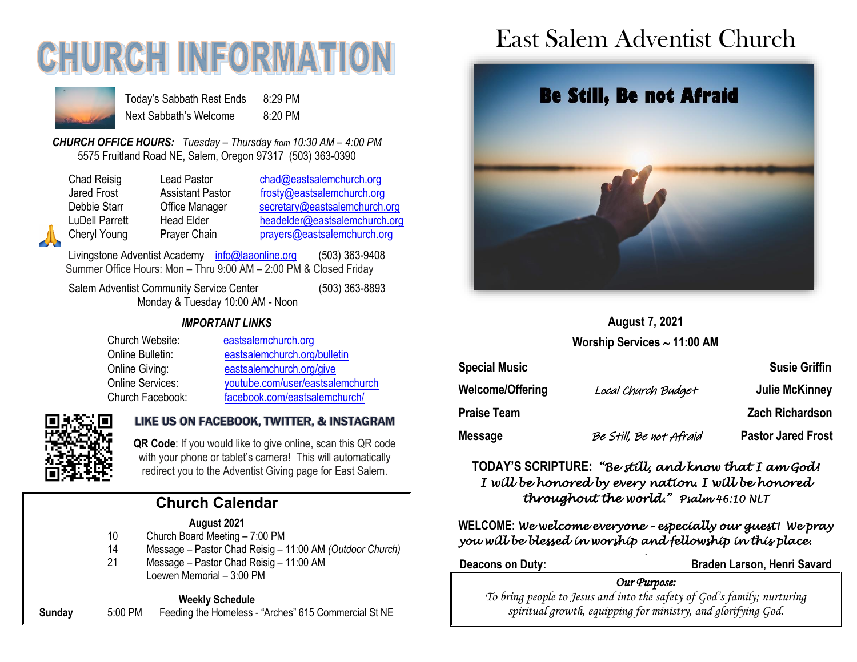# **CHURCH INFORMATIOI**



Today's Sabbath Rest Ends 8:29 PM Next Sabbath's Welcome 8:20 PM

*CHURCH OFFICE HOURS: Tuesday – Thursday from 10:30 AM – 4:00 PM* 5575 Fruitland Road NE, Salem, Oregon 97317 (503) 363-0390

Chad Reisig Lead Pastor [chad@eastsalemchurch.org](mailto:chad@eastsalemchurch.org) Jared Frost **Assistant Pastor** [frosty@eastsalemchurch.org](mailto:frosty@eastsalemchurch.org) Debbie Starr **Office Manager** [secretary@eastsalemchurch.org](mailto:secretary@eastsalemchurch.org) LuDell Parrett Head Elder [headelder@eastsalemchurch.org](mailto:headelder@eastsalemchurch.org) Cheryl Young Prayer Chain [prayers@eastsalemchurch.org](mailto:prayers@eastsalemchurch.org)

Livingstone Adventist Academy [info@laaonline.org](mailto:info@laaonline.org) (503) 363-9408 Summer Office Hours: Mon – Thru 9:00 AM – 2:00 PM & Closed Friday

Salem Adventist Community Service Center (503) 363-8893 Monday & Tuesday 10:00 AM - Noon

*IMPORTANT LINKS*

| Church Website:  | eastsalemchurch.org              |
|------------------|----------------------------------|
| Online Bulletin: | eastsalemchurch.org/bulletin     |
| Online Giving:   | eastsalemchurch.org/give         |
| Online Services: | youtube.com/user/eastsalemchurch |
| Church Facebook: | facebook.com/eastsalemchurch/    |



#### LIKE US ON FACEBOOK, TWITTER, & INSTAGRAM

**QR Code**: If you would like to give online, scan this QR code with your phone or tablet's camera! This will automatically redirect you to the Adventist Giving page for East Salem.

### **Church Calendar**

#### **August 2021**

- 10 Church Board Meeting 7:00 PM
- 14 Message Pastor Chad Reisig 11:00 AM *(Outdoor Church)*
- 21 Message Pastor Chad Reisig 11:00 AM Loewen Memorial – 3:00 PM

#### **Weekly Schedule**

**Sunday** 5:00 PM Feeding the Homeless - "Arches" 615 Commercial St NE

## East Salem Adventist Church



#### **August 7, 2021**

**Worship Services 11:00 AM**

| <b>Special Music</b> |                         | <b>Susie Griffin</b>      |
|----------------------|-------------------------|---------------------------|
| Welcome/Offering     | Local Church Budget     | Julie McKinney            |
| Praise Team          |                         | <b>Zach Richardson</b>    |
| Message              | Be Still, Be not Afraid | <b>Pastor Jared Frost</b> |

#### **TODAY'S SCRIPTURE:** *"Be still, and know that I am God! I will be honored by every nation. I will be honored throughout the world." Psalm 46:10 NLT*

**WELCOME:** *We welcome everyone – especially our guest! We pray you will be blessed in worship and fellowship in this place. .* 

**Deacons on Duty: Braden Larson, Henri Savard**

#### *Our Purpose:*

*To bring people to Jesus and into the safety of God's family; nurturing spiritual growth, equipping for ministry, and glorifying God.*